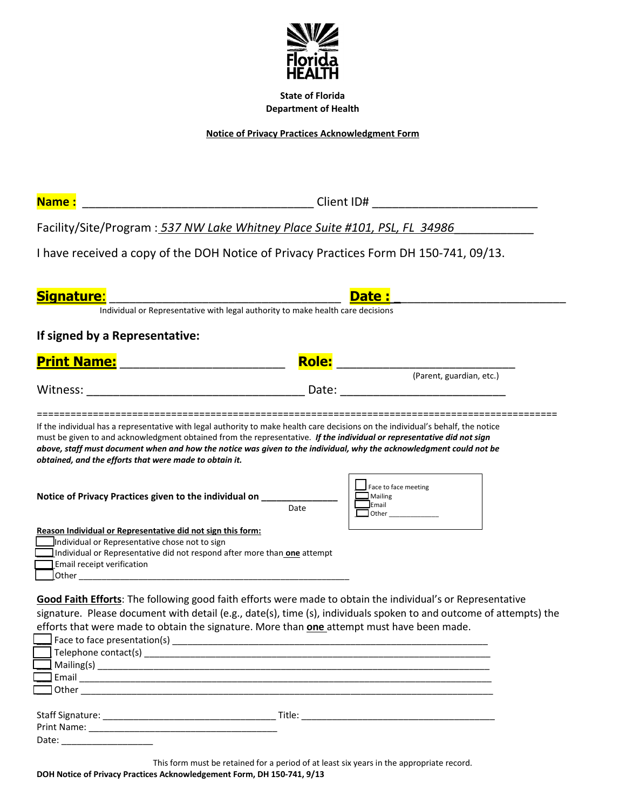

**State of Florida Department of Health** 

**Notice of Privacy Practices Acknowledgment Form** 

**Name :** \_\_\_\_\_\_\_\_\_\_\_\_\_\_\_\_\_\_\_\_\_\_\_\_\_\_\_\_\_\_\_\_\_\_\_ Client ID# \_\_\_\_\_\_\_\_\_\_\_\_\_\_\_\_\_\_\_\_\_\_\_\_\_

Facility/Site/Program : *537 NW Lake Whitney Place Suite #101, PSL, FL 34986*\_\_\_\_\_\_\_\_\_\_\_\_

I have received a copy of the DOH Notice of Privacy Practices Form DH 150-741, 09/13.

| <b>Signature:</b>                                                                                                                                                                                                                                                                                       |                                                                                 | <b>Date:</b>                                               |  |
|---------------------------------------------------------------------------------------------------------------------------------------------------------------------------------------------------------------------------------------------------------------------------------------------------------|---------------------------------------------------------------------------------|------------------------------------------------------------|--|
|                                                                                                                                                                                                                                                                                                         | Individual or Representative with legal authority to make health care decisions |                                                            |  |
| If signed by a Representative:                                                                                                                                                                                                                                                                          |                                                                                 |                                                            |  |
| <b>Print Name:</b>                                                                                                                                                                                                                                                                                      | <b>Role:</b>                                                                    |                                                            |  |
|                                                                                                                                                                                                                                                                                                         |                                                                                 | (Parent, guardian, etc.)                                   |  |
| Witness:                                                                                                                                                                                                                                                                                                | Date:                                                                           |                                                            |  |
| must be given to and acknowledgment obtained from the representative. If the individual or representative did not sign<br>above, staff must document when and how the notice was given to the individual, why the acknowledgment could not be<br>obtained, and the efforts that were made to obtain it. |                                                                                 |                                                            |  |
| Notice of Privacy Practices given to the individual on ____                                                                                                                                                                                                                                             | Date                                                                            | Face to face meeting<br>Mailing<br><b>J</b> Email<br>Other |  |
| Reason Individual or Representative did not sign this form:                                                                                                                                                                                                                                             |                                                                                 |                                                            |  |
| Individual or Representative chose not to sign                                                                                                                                                                                                                                                          |                                                                                 |                                                            |  |
| Individual or Representative did not respond after more than one attempt                                                                                                                                                                                                                                |                                                                                 |                                                            |  |
| Email receipt verification                                                                                                                                                                                                                                                                              |                                                                                 |                                                            |  |

**Good Faith Efforts**: The following good faith efforts were made to obtain the individual's or Representative signature. Please document with detail (e.g., date(s), time (s), individuals spoken to and outcome of attempts) the efforts that were made to obtain the signature. More than **one** attempt must have been made.

| <b>Community of the Community of the Community of the Community of the Community of the Community of the Community</b>                                                                                                               |
|--------------------------------------------------------------------------------------------------------------------------------------------------------------------------------------------------------------------------------------|
| Design other <u>the contract of the contract of the contract of the contract of the contract of the contract of the contract of the contract of the contract of the contract of the contract of the contract of the contract of </u> |
|                                                                                                                                                                                                                                      |
| Title:                                                                                                                                                                                                                               |
| Print Name: _____________                                                                                                                                                                                                            |
| Date: _________________                                                                                                                                                                                                              |
|                                                                                                                                                                                                                                      |

This form must be retained for a period of at least six years in the appropriate record.

\_\_\_\_Other \_\_\_\_\_\_\_\_\_\_\_\_\_\_\_\_\_\_\_\_\_\_\_\_\_\_\_\_\_\_\_\_\_\_\_\_\_\_\_\_\_\_\_\_\_\_\_\_\_\_\_\_\_\_\_\_\_\_\_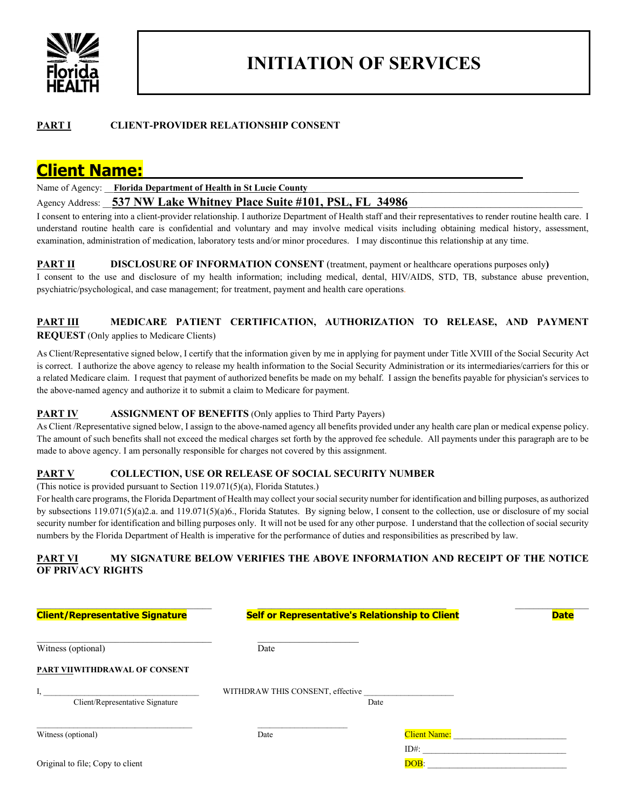

# **INITIATION OF SERVICES**

#### **PART I CLIENT-PROVIDER RELATIONSHIP CONSENT**

# **Client Name:**

Name of Agency: **\_\_ Florida Department of Health in St Lucie County** 

Agency Address: 537 NW Lake Whitney Place Suite #101, PSL, FL 34986

I consent to entering into a client-provider relationship. I authorize Department of Health staff and their representatives to render routine health care. I understand routine health care is confidential and voluntary and may involve medical visits including obtaining medical history, assessment, examination, administration of medication, laboratory tests and/or minor procedures. I may discontinue this relationship at any time.

**PART II** DISCLOSURE OF INFORMATION CONSENT (treatment, payment or healthcare operations purposes only)

I consent to the use and disclosure of my health information; including medical, dental, HIV/AIDS, STD, TB, substance abuse prevention, psychiatric/psychological, and case management; for treatment, payment and health care operations.

#### **PART III MEDICARE PATIENT CERTIFICATION, AUTHORIZATION TO RELEASE, AND PAYMENT REQUEST** (Only applies to Medicare Clients)

As Client/Representative signed below, I certify that the information given by me in applying for payment under Title XVIII of the Social Security Act is correct. I authorize the above agency to release my health information to the Social Security Administration or its intermediaries/carriers for this or a related Medicare claim. I request that payment of authorized benefits be made on my behalf. I assign the benefits payable for physician's services to the above-named agency and authorize it to submit a claim to Medicare for payment.

#### **PART IV ASSIGNMENT OF BENEFITS** (Only applies to Third Party Payers)

As Client /Representative signed below, I assign to the above-named agency all benefits provided under any health care plan or medical expense policy. The amount of such benefits shall not exceed the medical charges set forth by the approved fee schedule. All payments under this paragraph are to be made to above agency. I am personally responsible for charges not covered by this assignment.

#### **PART V COLLECTION, USE OR RELEASE OF SOCIAL SECURITY NUMBER**

(This notice is provided pursuant to Section 119.071(5)(a), Florida Statutes.)

For health care programs, the Florida Department of Health may collect your social security number for identification and billing purposes, as authorized by subsections 119.071(5)(a)2.a. and 119.071(5)(a)6., Florida Statutes. By signing below, I consent to the collection, use or disclosure of my social security number for identification and billing purposes only. It will not be used for any other purpose. I understand that the collection of social security numbers by the Florida Department of Health is imperative for the performance of duties and responsibilities as prescribed by law.

#### **PART VI MY SIGNATURE BELOW VERIFIES THE ABOVE INFORMATION AND RECEIPT OF THE NOTICE OF PRIVACY RIGHTS**

| <b>Client/Representative Signature</b> | Self or Representative's Relationship to Client |                                                | <b>Date</b> |
|----------------------------------------|-------------------------------------------------|------------------------------------------------|-------------|
| Witness (optional)                     | Date                                            |                                                |             |
| PART VIIWITHDRAWAL OF CONSENT          |                                                 |                                                |             |
| ı,<br>Client/Representative Signature  | WITHDRAW THIS CONSENT, effective                | Date                                           |             |
| Witness (optional)                     | Date                                            | Client Name: Wallet Manual Manual Client Name: |             |
| Original to file; Copy to client       |                                                 | $ID#$ :<br>DOB:                                |             |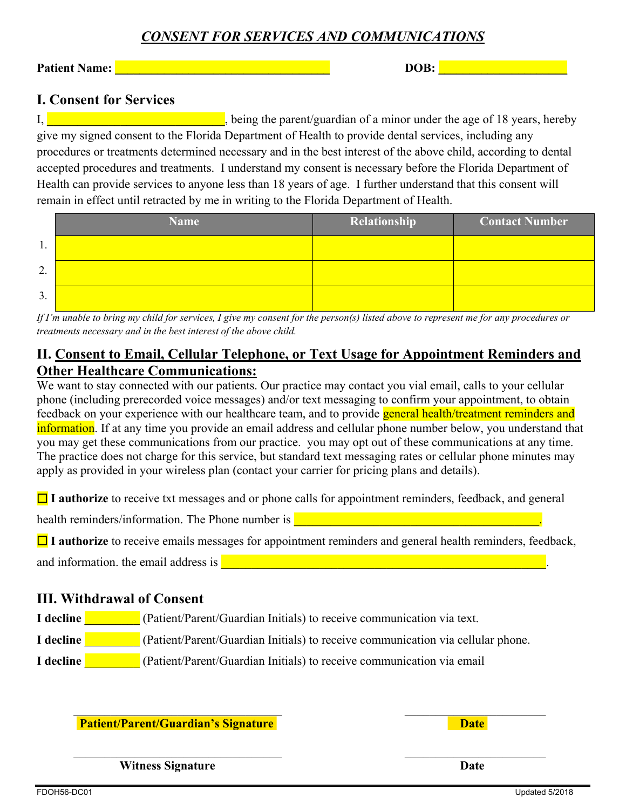# *CONSENT FOR SERVICES AND COMMUNICATIONS*

**Patient Name: laterally according to the contract of the contract of the contract of the contract of the contract of the contract of the contract of the contract of the contract of the contract of the contract of the co** 

## **I. Consent for Services**

I,  $\frac{1}{2}$  is the parent of a minor under the age of 18 years, hereby give my signed consent to the Florida Department of Health to provide dental services, including any procedures or treatments determined necessary and in the best interest of the above child, according to dental accepted procedures and treatments. I understand my consent is necessary before the Florida Department of Health can provide services to anyone less than 18 years of age. I further understand that this consent will remain in effect until retracted by me in writing to the Florida Department of Health.

|                     | <b>Name</b> | Relationship | <b>Contact Number</b> |
|---------------------|-------------|--------------|-----------------------|
|                     |             |              |                       |
| $\mathcal{L}$<br>٠. |             |              |                       |
| 3.                  |             |              |                       |

*If I'm unable to bring my child for services, I give my consent for the person(s) listed above to represent me for any procedures or treatments necessary and in the best interest of the above child.*

# **II. Consent to Email, Cellular Telephone, or Text Usage for Appointment Reminders and Other Healthcare Communications:**

We want to stay connected with our patients. Our practice may contact you vial email, calls to your cellular phone (including prerecorded voice messages) and/or text messaging to confirm your appointment, to obtain feedback on your experience with our healthcare team, and to provide general health/treatment reminders and information. If at any time you provide an email address and cellular phone number below, you understand that you may get these communications from our practice. you may opt out of these communications at any time. The practice does not charge for this service, but standard text messaging rates or cellular phone minutes may apply as provided in your wireless plan (contact your carrier for pricing plans and details).

**□** I authorize to receive txt messages and or phone calls for appointment reminders, feedback, and general

health reminders/information. The Phone number is **Exercise 2008** and the extent of the state of the extent of the

**□** I authorize to receive emails messages for appointment reminders and general health reminders, feedback,

and information. the email address is  $\Box$ 

## **III. Withdrawal of Consent**

- **I decline I.** (Patient/Parent/Guardian Initials) to receive communication via text.
- **I decline I. (Patient/Parent/Guardian Initials) to receive communication via cellular phone.**
- **I decline I.** (Patient/Parent/Guardian Initials) to receive communication via email

**Patient/Parent/Guardian's Signature Date Date** 

*Mitness Signature* Date